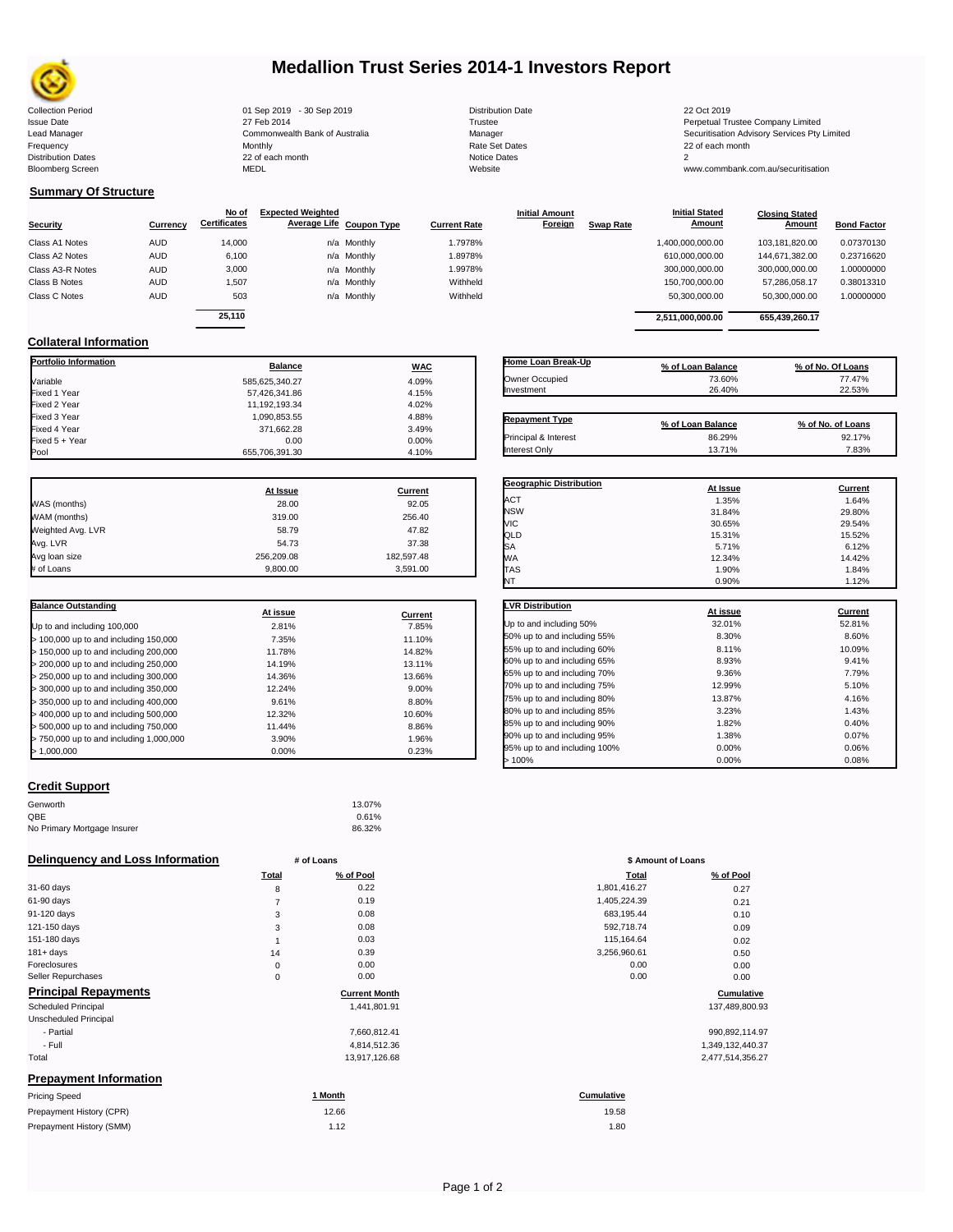

# **Medallion Trust Series 2014-1 Investors Report**

| <b>Collection Period</b>  | 01 Sep 2019 - 30 Sep 2019      | <b>Distribution Date</b> | 22 Oct 2019                                  |
|---------------------------|--------------------------------|--------------------------|----------------------------------------------|
| <b>Issue Date</b>         | 27 Feb 2014                    | Trustee                  | Perpetual Trustee Company Limited            |
| Lead Manager              | Commonwealth Bank of Australia | Manager                  | Securitisation Advisory Services Pty Limited |
| Frequency                 | Monthly                        | Rate Set Dates           | 22 of each month                             |
| <b>Distribution Dates</b> | 22 of each month               | Notice Dates             |                                              |
| <b>Bloomberg Screen</b>   | MEDL                           | Website                  | www.commbank.com.au/securitisation           |
|                           |                                |                          |                                              |

| <b>Distribution Date</b> |
|--------------------------|
| Trustee                  |
| Manager                  |
| <b>Rate Set Dates</b>    |
| Notice Dates             |
| Website                  |
|                          |

**Initial Amount** 

**Closing Stated Amount**

### **Summary Of Structure**

**Collateral Information**

|                  |            | No of               | <b>Expected Weighted</b> |             |                     | <b>Initial Amount</b> |                  | <b>Initial Stated</b> | <b>Closing Stated</b> |                    |
|------------------|------------|---------------------|--------------------------|-------------|---------------------|-----------------------|------------------|-----------------------|-----------------------|--------------------|
| <b>Security</b>  | Currency   | <b>Certificates</b> | Average Life Coupon Type |             | <b>Current Rate</b> | Foreign               | <b>Swap Rate</b> | <b>Amount</b>         | Amount                | <b>Bond Factor</b> |
| Class A1 Notes   | AUD        | 14,000              |                          | n/a Monthly | 1.7978%             |                       |                  | 1,400,000,000.00      | 103.181.820.00        | 0.07370130         |
| Class A2 Notes   | <b>AUD</b> | 6,100               |                          | n/a Monthly | 1.8978%             |                       |                  | 610,000,000.00        | 144.671.382.00        | 0.23716620         |
| Class A3-R Notes | <b>AUD</b> | 3,000               |                          | n/a Monthly | 1.9978%             |                       |                  | 300,000,000.00        | 300,000,000.00        | 1.00000000         |
| Class B Notes    | AUD        | 1,507               |                          | n/a Monthly | Withheld            |                       |                  | 150,700,000.00        | 57.286.058.17         | 0.38013310         |
| Class C Notes    | <b>AUD</b> | 503                 |                          | n/a Monthly | Withheld            |                       |                  | 50,300,000.00         | 50,300,000.00         | 1.00000000         |
|                  |            | 25.110              |                          |             |                     |                       |                  |                       |                       |                    |
|                  |            |                     |                          |             |                     |                       |                  | 2.511.000.000.00      | 655.439.260.17        |                    |

**Portfolio Information Balance WAC** Variable 585,625,340.27 4.09% Fixed 1 Year 57,426,341.86 4.15% Fixed 2 Year 11,192,193.34 4.02% Fixed 3 Year 1,090,853.55 4.88%

| Home Loan Break-Up    | % of Loan Balance | % of No. Of Loans |
|-----------------------|-------------------|-------------------|
| Owner Occupied        | 73.60%            | 77.47%            |
| Investment            | 26.40%            | 22.53%            |
| <b>Repayment Type</b> | % of Loan Balance | % of No. of Loans |
| Principal & Interest  | 86.29%            | 92.17%            |
| Interest Only         | 13.71%            | 7.83%             |

**Geographic Distribution At Issue Current**

**Initial Stated** 

| Fixed 5 + Year    | 0.00           | 0.00%      |
|-------------------|----------------|------------|
| Pool              | 655,706,391.30 | 4.10%      |
|                   |                |            |
|                   | At Issue       | Current    |
| WAS (months)      | 28.00          | 92.05      |
| WAM (months)      | 319.00         | 256.40     |
| Weighted Avg. LVR | 58.79          | 47.82      |
| Avg. LVR          | 54.73          | 37.38      |
| Avg loan size     | 256,209.08     | 182,597.48 |
| # of Loans        | 9,800.00       | 3,591.00   |

371,662.28 3.49%<br>0.00 0.00 0.00%

| <b>Balance Outstanding</b>              | At issue | Current |
|-----------------------------------------|----------|---------|
| Up to and including 100,000             | 2.81%    | 7.85%   |
| > 100,000 up to and including 150,000   | 7.35%    | 11.10%  |
| $>$ 150,000 up to and including 200,000 | 11.78%   | 14.82%  |
| $>$ 200,000 up to and including 250,000 | 14.19%   | 13.11%  |
| $>$ 250,000 up to and including 300,000 | 14.36%   | 13.66%  |
| > 300,000 up to and including 350,000   | 12.24%   | 9.00%   |
| $>$ 350,000 up to and including 400,000 | 9.61%    | 8.80%   |
| > 400,000 up to and including 500,000   | 12.32%   | 10.60%  |
| > 500,000 up to and including 750,000   | 11.44%   | 8.86%   |
| > 750,000 up to and including 1,000,000 | 3.90%    | 1.96%   |
| > 1.000.000                             | 0.00%    | 0.23%   |

| Credit Support |  |
|----------------|--|

| 13.07% |
|--------|
| 0.61%  |
| 86.32% |
|        |

| <b>Delinguency and Loss Information</b><br>\$ Amount of Loans<br># of Loans |  |
|-----------------------------------------------------------------------------|--|
|-----------------------------------------------------------------------------|--|

|                               | <b>Total</b>   | % of Pool            | <b>Total</b> | % of Pool        |
|-------------------------------|----------------|----------------------|--------------|------------------|
| 31-60 days                    | 8              | 0.22                 | 1,801,416.27 | 0.27             |
| 61-90 days                    | $\overline{7}$ | 0.19                 | 1,405,224.39 | 0.21             |
| 91-120 days                   | 3              | 0.08                 | 683,195.44   | 0.10             |
| 121-150 days                  | 3              | 0.08                 | 592,718.74   | 0.09             |
| 151-180 days                  |                | 0.03                 | 115,164.64   | 0.02             |
| $181 + days$                  | 14             | 0.39                 | 3,256,960.61 | 0.50             |
| Foreclosures                  | $\mathbf 0$    | 0.00                 | 0.00         | 0.00             |
| Seller Repurchases            | $\mathbf 0$    | 0.00                 | 0.00         | 0.00             |
| <b>Principal Repayments</b>   |                | <b>Current Month</b> |              | Cumulative       |
| <b>Scheduled Principal</b>    |                | 1,441,801.91         |              | 137,489,800.93   |
| Unscheduled Principal         |                |                      |              |                  |
| - Partial                     |                | 7,660,812.41         |              | 990,892,114.97   |
| - Full                        |                | 4,814,512.36         |              | 1,349,132,440.37 |
| Total                         |                | 13,917,126.68        |              | 2,477,514,356.27 |
| <b>Prepayment Information</b> |                |                      |              |                  |
| Pricing Speed                 |                | 1 Month              | Cumulative   |                  |
| Prepayment History (CPR)      |                | 12.66                | 19.58        |                  |
| Prepayment History (SMM)      |                | 1.12                 | 1.80         |                  |
|                               |                |                      |              |                  |

| ACT                                                                                                                                                                            | 1.35%    | 1.64%          |
|--------------------------------------------------------------------------------------------------------------------------------------------------------------------------------|----------|----------------|
| <b>NSW</b>                                                                                                                                                                     | 31.84%   | 29.80%         |
| VIC                                                                                                                                                                            | 30.65%   | 29.54%         |
| QLD                                                                                                                                                                            | 15.31%   | 15.52%         |
| SA                                                                                                                                                                             | 5.71%    | 6.12%          |
| МA                                                                                                                                                                             | 12.34%   | 14.42%         |
| <b>TAS</b>                                                                                                                                                                     | 1.90%    | 1.84%          |
| NT                                                                                                                                                                             | 0.90%    | 1.12%          |
|                                                                                                                                                                                |          |                |
|                                                                                                                                                                                |          |                |
|                                                                                                                                                                                | At issue | <b>Current</b> |
|                                                                                                                                                                                | 32.01%   | 52.81%         |
|                                                                                                                                                                                | 8.30%    | 8.60%          |
|                                                                                                                                                                                | 8.11%    | 10.09%         |
|                                                                                                                                                                                | 8.93%    | 9.41%          |
| <b>LVR Distribution</b><br>Up to and including 50%<br>50% up to and including 55%<br>55% up to and including 60%<br>60% up to and including 65%<br>65% up to and including 70% | 9.36%    | 7.79%          |

| 9.36%  | 7.79% |
|--------|-------|
| 12.99% | 5.10% |
| 13.87% | 4.16% |
| 3.23%  | 1.43% |
| 1.82%  | 0.40% |
| 1.38%  | 0.07% |
| 0.00%  | 0.06% |
| 0.00%  | 0.08% |
|        |       |

| # of Loans     |                      | \$ Amount of Loans |                 |  |
|----------------|----------------------|--------------------|-----------------|--|
| Total          | % of Pool            | Total              | % of Pool       |  |
| 8              | 0.22                 | 1,801,416.27       | 0.27            |  |
| $\overline{7}$ | 0.19                 | 1,405,224.39       | 0.21            |  |
| 3              | 0.08                 | 683,195.44         | 0.10            |  |
| 3              | 0.08                 | 592,718.74         | 0.09            |  |
| 1              | 0.03                 | 115,164.64         | 0.02            |  |
| 14             | 0.39                 | 3,256,960.61       | 0.50            |  |
| 0              | 0.00                 | 0.00               | 0.00            |  |
| $\pmb{0}$      | 0.00                 | 0.00               | 0.00            |  |
|                | <b>Current Month</b> |                    | Cumulative      |  |
|                | 1,441,801.91         |                    | 137,489,800.9   |  |
|                | 7,660,812.41         |                    | 990,892,114.9   |  |
|                | 4,814,512.36         |                    | 1,349,132,440.3 |  |

| umulative |  |
|-----------|--|
| 19.58     |  |